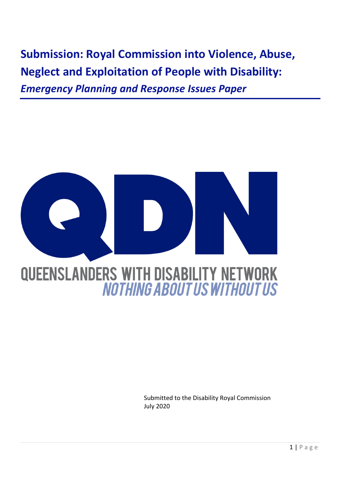**Submission: Royal Commission into Violence, Abuse, Neglect and Exploitation of People with Disability:**  *Emergency Planning and Response Issues Paper* 



Submitted to the Disability Royal Commission July 2020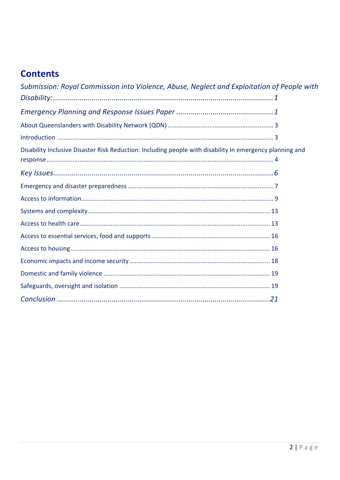# **Contents**

| Submission: Royal Commission into Violence, Abuse, Neglect and Exploitation of People with               |  |
|----------------------------------------------------------------------------------------------------------|--|
|                                                                                                          |  |
|                                                                                                          |  |
|                                                                                                          |  |
|                                                                                                          |  |
| Disability Inclusive Disaster Risk Reduction: Including people with disability in emergency planning and |  |
|                                                                                                          |  |
|                                                                                                          |  |
|                                                                                                          |  |
|                                                                                                          |  |
|                                                                                                          |  |
|                                                                                                          |  |
|                                                                                                          |  |
|                                                                                                          |  |
|                                                                                                          |  |
|                                                                                                          |  |
|                                                                                                          |  |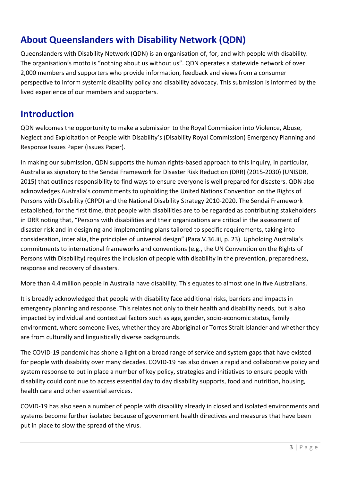# **About Queenslanders with Disability Network (QDN)**

Queenslanders with Disability Network (QDN) is an organisation of, for, and with people with disability. The organisation's motto is "nothing about us without us". QDN operates a statewide network of over 2,000 members and supporters who provide information, feedback and views from a consumer perspective to inform systemic disability policy and disability advocacy. This submission is informed by the lived experience of our members and supporters.

### **Introduction**

QDN welcomes the opportunity to make a submission to the Royal Commission into Violence, Abuse, Neglect and Exploitation of People with Disability's (Disability Royal Commission) Emergency Planning and Response Issues Paper (Issues Paper).

In making our submission, QDN supports the human rights-based approach to this inquiry, in particular, Australia as signatory to the Sendai Framework for Disaster Risk Reduction (DRR) (2015-2030) (UNISDR, 2015) that outlines responsibility to find ways to ensure everyone is well prepared for disasters. QDN also acknowledges Australia's commitments to upholding the United Nations Convention on the Rights of Persons with Disability (CRPD) and the National Disability Strategy 2010-2020. The Sendai Framework established, for the first time, that people with disabilities are to be regarded as contributing stakeholders in DRR noting that, "Persons with disabilities and their organizations are critical in the assessment of disaster risk and in designing and implementing plans tailored to specific requirements, taking into consideration, inter alia, the principles of universal design" (Para.V.36.iii, p. 23). Upholding Australia's commitments to international frameworks and conventions (e.g., the UN Convention on the Rights of Persons with Disability) requires the inclusion of people with disability in the prevention, preparedness, response and recovery of disasters.

More than 4.4 million people in Australia have disability. This equates to almost one in five Australians.

It is broadly acknowledged that people with disability face additional risks, barriers and impacts in emergency planning and response. This relates not only to their health and disability needs, but is also impacted by individual and contextual factors such as age, gender, socio-economic status, family environment, where someone lives, whether they are Aboriginal or Torres Strait Islander and whether they are from culturally and linguistically diverse backgrounds.

The COVID-19 pandemic has shone a light on a broad range of service and system gaps that have existed for people with disability over many decades. COVID-19 has also driven a rapid and collaborative policy and system response to put in place a number of key policy, strategies and initiatives to ensure people with disability could continue to access essential day to day disability supports, food and nutrition, housing, health care and other essential services.

COVID-19 has also seen a number of people with disability already in closed and isolated environments and systems become further isolated because of government health directives and measures that have been put in place to slow the spread of the virus.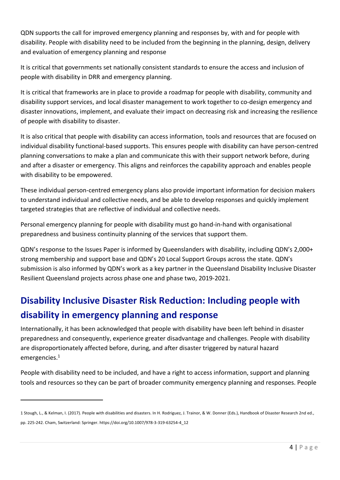QDN supports the call for improved emergency planning and responses by, with and for people with disability. People with disability need to be included from the beginning in the planning, design, delivery and evaluation of emergency planning and response

It is critical that governments set nationally consistent standards to ensure the access and inclusion of people with disability in DRR and emergency planning.

It is critical that frameworks are in place to provide a roadmap for people with disability, community and disability support services, and local disaster management to work together to co-design emergency and disaster innovations, implement, and evaluate their impact on decreasing risk and increasing the resilience of people with disability to disaster.

It is also critical that people with disability can access information, tools and resources that are focused on individual disability functional-based supports. This ensures people with disability can have person-centred planning conversations to make a plan and communicate this with their support network before, during and after a disaster or emergency. This aligns and reinforces the capability approach and enables people with disability to be empowered.

These individual person-centred emergency plans also provide important information for decision makers to understand individual and collective needs, and be able to develop responses and quickly implement targeted strategies that are reflective of individual and collective needs.

Personal emergency planning for people with disability must go hand-in-hand with organisational preparedness and business continuity planning of the services that support them.

QDN's response to the Issues Paper is informed by Queenslanders with disability, including QDN's 2,000+ strong membership and support base and QDN's 20 Local Support Groups across the state. QDN's submission is also informed by QDN's work as a key partner in the Queensland Disability Inclusive Disaster Resilient Queensland projects across phase one and phase two, 2019-2021.

# **Disability Inclusive Disaster Risk Reduction: Including people with disability in emergency planning and response**

Internationally, it has been acknowledged that people with disability have been left behind in disaster preparedness and consequently, experience greater disadvantage and challenges. People with disability are disproportionately affected before, during, and after disaster triggered by natural hazard emergencies.<sup>1</sup>

People with disability need to be included, and have a right to access information, support and planning tools and resources so they can be part of broader community emergency planning and responses. People

<sup>1</sup> Stough, L., & Kelman, I. (2017). People with disabilities and disasters. In H. Rodriguez, J. Trainor, & W. Donner (Eds.), Handbook of Disaster Research 2nd ed., pp. 225-242. Cham, Switzerland: Springer. https://doi.org/10.1007/978-3-319-63254-4\_12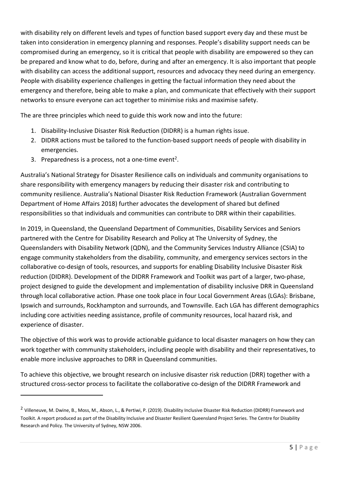with disability rely on different levels and types of function based support every day and these must be taken into consideration in emergency planning and responses. People's disability support needs can be compromised during an emergency, so it is critical that people with disability are empowered so they can be prepared and know what to do, before, during and after an emergency. It is also important that people with disability can access the additional support, resources and advocacy they need during an emergency. People with disability experience challenges in getting the factual information they need about the emergency and therefore, being able to make a plan, and communicate that effectively with their support networks to ensure everyone can act together to minimise risks and maximise safety.

The are three principles which need to guide this work now and into the future:

- 1. Disability-Inclusive Disaster Risk Reduction (DIDRR) is a human rights issue.
- 2. DIDRR actions must be tailored to the function-based support needs of people with disability in emergencies.
- 3. Preparedness is a process, not a one-time event<sup>2</sup>.

Australia's National Strategy for Disaster Resilience calls on individuals and community organisations to share responsibility with emergency managers by reducing their disaster risk and contributing to community resilience. Australia's National Disaster Risk Reduction Framework (Australian Government Department of Home Affairs 2018) further advocates the development of shared but defined responsibilities so that individuals and communities can contribute to DRR within their capabilities.

In 2019, in Queensland, the Queensland Department of Communities, Disability Services and Seniors partnered with the Centre for Disability Research and Policy at The University of Sydney, the Queenslanders with Disability Network (QDN), and the Community Services Industry Alliance (CSIA) to engage community stakeholders from the disability, community, and emergency services sectors in the collaborative co-design of tools, resources, and supports for enabling Disability Inclusive Disaster Risk reduction (DIDRR). Development of the DIDRR Framework and Toolkit was part of a larger, two-phase, project designed to guide the development and implementation of disability inclusive DRR in Queensland through local collaborative action. Phase one took place in four Local Government Areas (LGAs): Brisbane, Ipswich and surrounds, Rockhampton and surrounds, and Townsville. Each LGA has different demographics including core activities needing assistance, profile of community resources, local hazard risk, and experience of disaster.

The objective of this work was to provide actionable guidance to local disaster managers on how they can work together with community stakeholders, including people with disability and their representatives, to enable more inclusive approaches to DRR in Queensland communities.

To achieve this objective, we brought research on inclusive disaster risk reduction (DRR) together with a structured cross-sector process to facilitate the collaborative co-design of the DIDRR Framework and

<sup>&</sup>lt;sup>2</sup> Villeneuve, M. Dwine, B., Moss, M., Abson, L., & Pertiwi, P. (2019). Disability Inclusive Disaster Risk Reduction (DIDRR) Framework and Toolkit. A report produced as part of the Disability Inclusive and Disaster Resilient Queensland Project Series. The Centre for Disability Research and Policy. The University of Sydney, NSW 2006.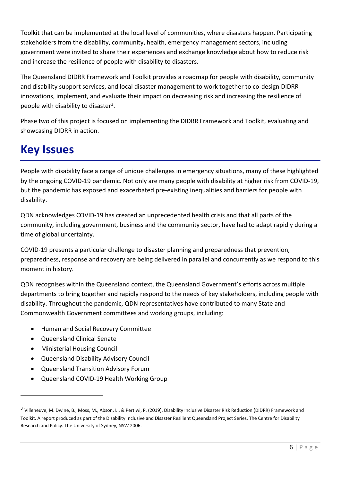Toolkit that can be implemented at the local level of communities, where disasters happen. Participating stakeholders from the disability, community, health, emergency management sectors, including government were invited to share their experiences and exchange knowledge about how to reduce risk and increase the resilience of people with disability to disasters.

The Queensland DIDRR Framework and Toolkit provides a roadmap for people with disability, community and disability support services, and local disaster management to work together to co-design DIDRR innovations, implement, and evaluate their impact on decreasing risk and increasing the resilience of people with disability to disaster<sup>3</sup>.

Phase two of this project is focused on implementing the DIDRR Framework and Toolkit, evaluating and showcasing DIDRR in action.

# **Key Issues**

People with disability face a range of unique challenges in emergency situations, many of these highlighted by the ongoing COVID-19 pandemic. Not only are many people with disability at higher risk from COVID-19, but the pandemic has exposed and exacerbated pre-existing inequalities and barriers for people with disability.

QDN acknowledges COVID-19 has created an unprecedented health crisis and that all parts of the community, including government, business and the community sector, have had to adapt rapidly during a time of global uncertainty.

COVID-19 presents a particular challenge to disaster planning and preparedness that prevention, preparedness, response and recovery are being delivered in parallel and concurrently as we respond to this moment in history.

QDN recognises within the Queensland context, the Queensland Government's efforts across multiple departments to bring together and rapidly respond to the needs of key stakeholders, including people with disability. Throughout the pandemic, QDN representatives have contributed to many State and Commonwealth Government committees and working groups, including:

- Human and Social Recovery Committee
- Queensland Clinical Senate
- Ministerial Housing Council
- Queensland Disability Advisory Council
- Queensland Transition Advisory Forum
- Queensland COVID-19 Health Working Group

<sup>&</sup>lt;sup>3</sup> Villeneuve, M. Dwine, B., Moss, M., Abson, L., & Pertiwi, P. (2019). Disability Inclusive Disaster Risk Reduction (DIDRR) Framework and Toolkit. A report produced as part of the Disability Inclusive and Disaster Resilient Queensland Project Series. The Centre for Disability Research and Policy. The University of Sydney, NSW 2006.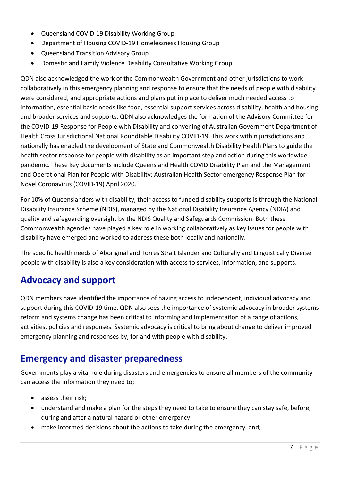- Queensland COVID-19 Disability Working Group
- Department of Housing COVID-19 Homelessness Housing Group
- Queensland Transition Advisory Group
- Domestic and Family Violence Disability Consultative Working Group

QDN also acknowledged the work of the Commonwealth Government and other jurisdictions to work collaboratively in this emergency planning and response to ensure that the needs of people with disability were considered, and appropriate actions and plans put in place to deliver much needed access to information, essential basic needs like food, essential support services across disability, health and housing and broader services and supports. QDN also acknowledges the formation of the Advisory Committee for the COVID-19 Response for People with Disability and convening of Australian Government Department of Health Cross Jurisdictional National Roundtable Disability COVID-19. This work within jurisdictions and nationally has enabled the development of State and Commonwealth Disability Health Plans to guide the health sector response for people with disability as an important step and action during this worldwide pandemic. These key documents include Queensland Health COVID Disability Plan and the Management and Operational Plan for People with Disability: Australian Health Sector emergency Response Plan for Novel Coronavirus (COVID-19) April 2020.

For 10% of Queenslanders with disability, their access to funded disability supports is through the National Disability Insurance Scheme (NDIS), managed by the National Disability Insurance Agency (NDIA) and quality and safeguarding oversight by the NDIS Quality and Safeguards Commission. Both these Commonwealth agencies have played a key role in working collaboratively as key issues for people with disability have emerged and worked to address these both locally and nationally.

The specific health needs of Aboriginal and Torres Strait Islander and Culturally and Linguistically Diverse people with disability is also a key consideration with access to services, information, and supports.

# **Advocacy and support**

QDN members have identified the importance of having access to independent, individual advocacy and support during this COVID-19 time. QDN also sees the importance of systemic advocacy in broader systems reform and systems change has been critical to informing and implementation of a range of actions, activities, policies and responses. Systemic advocacy is critical to bring about change to deliver improved emergency planning and responses by, for and with people with disability.

### **Emergency and disaster preparedness**

Governments play a vital role during disasters and emergencies to ensure all members of the community can access the information they need to;

- assess their risk;
- understand and make a plan for the steps they need to take to ensure they can stay safe, before, during and after a natural hazard or other emergency;
- make informed decisions about the actions to take during the emergency, and;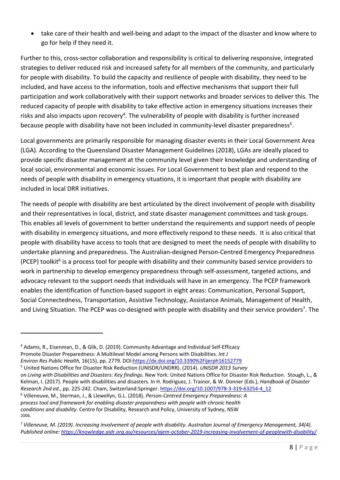• take care of their health and well-being and adapt to the impact of the disaster and know where to go for help if they need it.

Further to this, cross-sector collaboration and responsibility is critical to delivering responsive, integrated strategies to deliver reduced risk and increased safety for all members of the community, and particularly for people with disability. To build the capacity and resilience of people with disability, they need to be included, and have access to the information, tools and effective mechanisms that support their full participation and work collaboratively with their support networks and broader services to deliver this. The reduced capacity of people with disability to take effective action in emergency situations increases their risks and also impacts upon recovery<sup>4</sup>. The vulnerability of people with disability is further increased because people with disability have not been included in community-level disaster preparedness<sup>5</sup>.

Local governments are primarily responsible for managing disaster events in their Local Government Area (LGA). According to the Queensland Disaster Management Guidelines (2018), LGAs are ideally placed to provide specific disaster management at the community level given their knowledge and understanding of local social, environmental and economic issues. For Local Government to best plan and respond to the needs of people with disability in emergency situations, it is important that people with disability are included in local DRR initiatives.

The needs of people with disability are best articulated by the direct involvement of people with disability and their representatives in local, district, and state disaster management committees and task groups. This enables all levels of government to better understand the requirements and support needs of people with disability in emergency situations, and more effectively respond to these needs. It is also critical that people with disability have access to tools that are designed to meet the needs of people with disability to undertake planning and preparedness. The Australian-designed Person-Centred Emergency Preparedness (PCEP) toolkit<sup>6</sup> is a process tool for people with disability and their community based service providers to work in partnership to develop emergency preparedness through self-assessment, targeted actions, and advocacy relevant to the support needs that individuals will have in an emergency. The PCEP framework enables the identification of function-based support in eight areas: Communication, Personal Support, Social Connectedness, Transportation, Assistive Technology, Assistance Animals, Management of Health, and Living Situation. The PCEP was co-designed with people with disability and their service providers<sup>7</sup>. The

<sup>4</sup> Adams, R., Eisenman, D., & Glik, D. (2019). Community Advantage and Individual Self-Efficacy Promote Disaster Preparedness: A Multilevel Model among Persons with Disabilities. *Int J*

*Environ Res Public Health,* 16(15), pp. 2779. DOI:https://dx.doi.org/10.3390%2Fijerph16152779

<sup>5</sup> United Nations Office for Disaster Risk Reduction (UNISDR/UNDRR). (2014). *UNISDR 2013 Survey*

*on Living with Disabilities and Disasters: Key findings.* New York: United Nations Office for Disaster Risk Reduction. Stough, L., & Kelman, I. (2017). People with disabilities and disasters. In H. Rodriguez, J. Trainor, & W. Donner (Eds.), *Handbook of Disaster Research 2nd ed*., pp. 225-242. Cham, Switzerland:Springer. https://doi.org/10.1007/978-3-319-63254-4\_12 <sup>6</sup> Villeneuve, M., Sterman, J., & Llewellyn, G.L. (2018). *Person-Centred Emergency Preparedness: A process tool and framework for enabling disaster preparedness with people with chronic health conditions and disability*. Centre for Disability, Research and Policy, University of Sydney, NSW 2006.

<sup>7</sup> *Villeneuve, M. (2019). Increasing involvement of people with disability. Australian Journal of Emergency Management, 34(4). Published online: https://knowledge.aidr.org.au/resources/ajem-october-2019-increasing-involvement-of-peoplewith-disability/*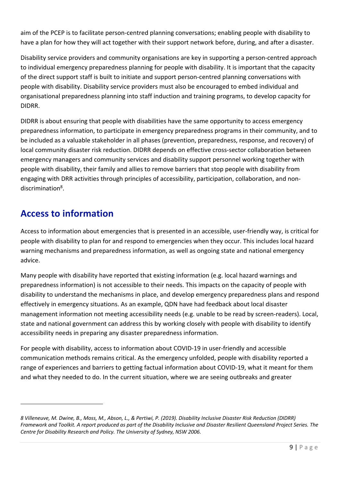aim of the PCEP is to facilitate person-centred planning conversations; enabling people with disability to have a plan for how they will act together with their support network before, during, and after a disaster.

Disability service providers and community organisations are key in supporting a person-centred approach to individual emergency preparedness planning for people with disability. It is important that the capacity of the direct support staff is built to initiate and support person-centred planning conversations with people with disability. Disability service providers must also be encouraged to embed individual and organisational preparedness planning into staff induction and training programs, to develop capacity for DIDRR.

DIDRR is about ensuring that people with disabilities have the same opportunity to access emergency preparedness information, to participate in emergency preparedness programs in their community, and to be included as a valuable stakeholder in all phases (prevention, preparedness, response, and recovery) of local community disaster risk reduction. DIDRR depends on effective cross-sector collaboration between emergency managers and community services and disability support personnel working together with people with disability, their family and allies to remove barriers that stop people with disability from engaging with DRR activities through principles of accessibility, participation, collaboration, and nondiscrimination<sup>8</sup>.

## **Access to information**

Access to information about emergencies that is presented in an accessible, user-friendly way, is critical for people with disability to plan for and respond to emergencies when they occur. This includes local hazard warning mechanisms and preparedness information, as well as ongoing state and national emergency advice.

Many people with disability have reported that existing information (e.g. local hazard warnings and preparedness information) is not accessible to their needs. This impacts on the capacity of people with disability to understand the mechanisms in place, and develop emergency preparedness plans and respond effectively in emergency situations. As an example, QDN have had feedback about local disaster management information not meeting accessibility needs (e.g. unable to be read by screen-readers). Local, state and national government can address this by working closely with people with disability to identify accessibility needs in preparing any disaster preparedness information.

For people with disability, access to information about COVID-19 in user-friendly and accessible communication methods remains critical. As the emergency unfolded, people with disability reported a range of experiences and barriers to getting factual information about COVID-19, what it meant for them and what they needed to do. In the current situation, where we are seeing outbreaks and greater

*<sup>8</sup> Villeneuve, M. Dwine, B., Moss, M., Abson, L., & Pertiwi, P. (2019). Disability Inclusive Disaster Risk Reduction (DIDRR) Framework and Toolkit. A report produced as part of the Disability Inclusive and Disaster Resilient Queensland Project Series. The Centre for Disability Research and Policy. The University of Sydney, NSW 2006.*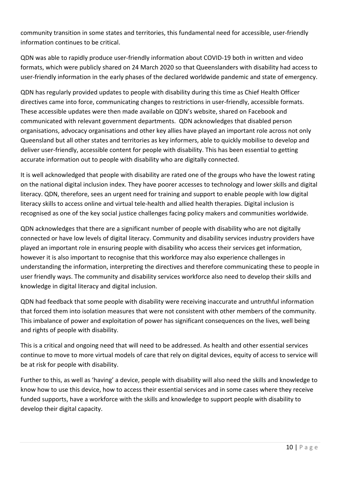community transition in some states and territories, this fundamental need for accessible, user-friendly information continues to be critical.

QDN was able to rapidly produce user-friendly information about COVID-19 both in written and video formats, which were publicly shared on 24 March 2020 so that Queenslanders with disability had access to user-friendly information in the early phases of the declared worldwide pandemic and state of emergency.

QDN has regularly provided updates to people with disability during this time as Chief Health Officer directives came into force, communicating changes to restrictions in user-friendly, accessible formats. These accessible updates were then made available on QDN's website, shared on Facebook and communicated with relevant government departments. QDN acknowledges that disabled person organisations, advocacy organisations and other key allies have played an important role across not only Queensland but all other states and territories as key informers, able to quickly mobilise to develop and deliver user-friendly, accessible content for people with disability. This has been essential to getting accurate information out to people with disability who are digitally connected.

It is well acknowledged that people with disability are rated one of the groups who have the lowest rating on the national digital inclusion index. They have poorer accesses to technology and lower skills and digital literacy. QDN, therefore, sees an urgent need for training and support to enable people with low digital literacy skills to access online and virtual tele-health and allied health therapies. Digital inclusion is recognised as one of the key social justice challenges facing policy makers and communities worldwide.

QDN acknowledges that there are a significant number of people with disability who are not digitally connected or have low levels of digital literacy. Community and disability services industry providers have played an important role in ensuring people with disability who access their services get information, however it is also important to recognise that this workforce may also experience challenges in understanding the information, interpreting the directives and therefore communicating these to people in user friendly ways. The community and disability services workforce also need to develop their skills and knowledge in digital literacy and digital inclusion.

QDN had feedback that some people with disability were receiving inaccurate and untruthful information that forced them into isolation measures that were not consistent with other members of the community. This imbalance of power and exploitation of power has significant consequences on the lives, well being and rights of people with disability.

This is a critical and ongoing need that will need to be addressed. As health and other essential services continue to move to more virtual models of care that rely on digital devices, equity of access to service will be at risk for people with disability.

Further to this, as well as 'having' a device, people with disability will also need the skills and knowledge to know how to use this device, how to access their essential services and in some cases where they receive funded supports, have a workforce with the skills and knowledge to support people with disability to develop their digital capacity.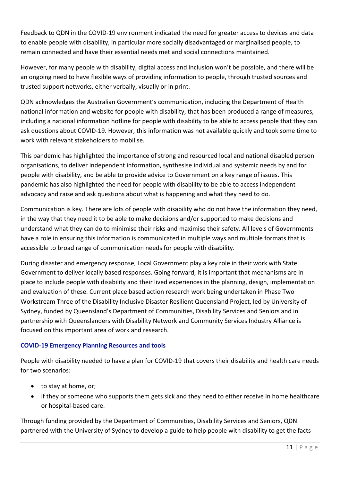Feedback to QDN in the COVID-19 environment indicated the need for greater access to devices and data to enable people with disability, in particular more socially disadvantaged or marginalised people, to remain connected and have their essential needs met and social connections maintained.

However, for many people with disability, digital access and inclusion won't be possible, and there will be an ongoing need to have flexible ways of providing information to people, through trusted sources and trusted support networks, either verbally, visually or in print.

QDN acknowledges the Australian Government's communication, including the Department of Health national information and website for people with disability, that has been produced a range of measures, including a national information hotline for people with disability to be able to access people that they can ask questions about COVID-19. However, this information was not available quickly and took some time to work with relevant stakeholders to mobilise.

This pandemic has highlighted the importance of strong and resourced local and national disabled person organisations, to deliver independent information, synthesise individual and systemic needs by and for people with disability, and be able to provide advice to Government on a key range of issues. This pandemic has also highlighted the need for people with disability to be able to access independent advocacy and raise and ask questions about what is happening and what they need to do.

Communication is key. There are lots of people with disability who do not have the information they need, in the way that they need it to be able to make decisions and/or supported to make decisions and understand what they can do to minimise their risks and maximise their safety. All levels of Governments have a role in ensuring this information is communicated in multiple ways and multiple formats that is accessible to broad range of communication needs for people with disability.

During disaster and emergency response, Local Government play a key role in their work with State Government to deliver locally based responses. Going forward, it is important that mechanisms are in place to include people with disability and their lived experiences in the planning, design, implementation and evaluation of these. Current place based action research work being undertaken in Phase Two Workstream Three of the Disability Inclusive Disaster Resilient Queensland Project, led by University of Sydney, funded by Queensland's Department of Communities, Disability Services and Seniors and in partnership with Queenslanders with Disability Network and Community Services Industry Alliance is focused on this important area of work and research.

#### **COVID-19 Emergency Planning Resources and tools**

People with disability needed to have a plan for COVID-19 that covers their disability and health care needs for two scenarios:

- to stay at home, or;
- if they or someone who supports them gets sick and they need to either receive in home healthcare or hospital-based care.

Through funding provided by the Department of Communities, Disability Services and Seniors, QDN partnered with the University of Sydney to develop a guide to help people with disability to get the facts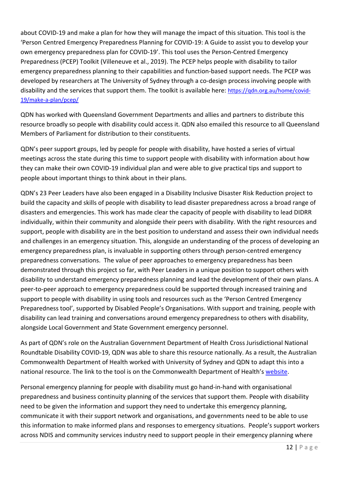about COVID-19 and make a plan for how they will manage the impact of this situation. This tool is the 'Person Centred Emergency Preparedness Planning for COVID-19: A Guide to assist you to develop your own emergency preparedness plan for COVID-19'. This tool uses the Person-Centred Emergency Preparedness (PCEP) Toolkit (Villeneuve et al., 2019). The PCEP helps people with disability to tailor emergency preparedness planning to their capabilities and function-based support needs. The PCEP was developed by researchers at The University of Sydney through a co-design process involving people with disability and the services that support them. The toolkit is available here: https://gdn.org.au/home/covid-19/make-a-plan/pcep/

QDN has worked with Queensland Government Departments and allies and partners to distribute this resource broadly so people with disability could access it. QDN also emailed this resource to all Queensland Members of Parliament for distribution to their constituents.

QDN's peer support groups, led by people for people with disability, have hosted a series of virtual meetings across the state during this time to support people with disability with information about how they can make their own COVID-19 individual plan and were able to give practical tips and support to people about important things to think about in their plans.

QDN's 23 Peer Leaders have also been engaged in a Disability Inclusive Disaster Risk Reduction project to build the capacity and skills of people with disability to lead disaster preparedness across a broad range of disasters and emergencies. This work has made clear the capacity of people with disability to lead DIDRR individually, within their community and alongside their peers with disability. With the right resources and support, people with disability are in the best position to understand and assess their own individual needs and challenges in an emergency situation. This, alongside an understanding of the process of developing an emergency preparedness plan, is invaluable in supporting others through person-centred emergency preparedness conversations. The value of peer approaches to emergency preparedness has been demonstrated through this project so far, with Peer Leaders in a unique position to support others with disability to understand emergency preparedness planning and lead the development of their own plans. A peer-to-peer approach to emergency preparedness could be supported through increased training and support to people with disability in using tools and resources such as the 'Person Centred Emergency Preparedness tool', supported by Disabled People's Organisations. With support and training, people with disability can lead training and conversations around emergency preparedness to others with disability, alongside Local Government and State Government emergency personnel.

As part of QDN's role on the Australian Government Department of Health Cross Jurisdictional National Roundtable Disability COVID-19, QDN was able to share this resource nationally. As a result, the Australian Commonwealth Department of Health worked with University of Sydney and QDN to adapt this into a national resource. The link to the tool is on the Commonwealth Department of Health's website.

Personal emergency planning for people with disability must go hand-in-hand with organisational preparedness and business continuity planning of the services that support them. People with disability need to be given the information and support they need to undertake this emergency planning, communicate it with their support network and organisations, and governments need to be able to use this information to make informed plans and responses to emergency situations. People's support workers across NDIS and community services industry need to support people in their emergency planning where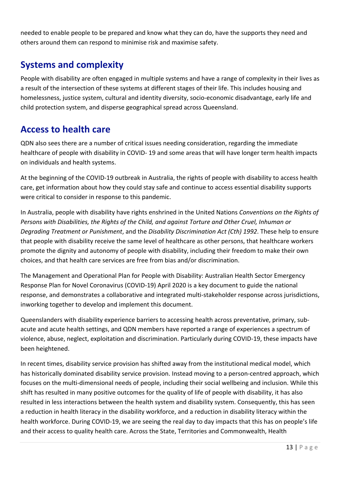needed to enable people to be prepared and know what they can do, have the supports they need and others around them can respond to minimise risk and maximise safety.

## **Systems and complexity**

People with disability are often engaged in multiple systems and have a range of complexity in their lives as a result of the intersection of these systems at different stages of their life. This includes housing and homelessness, justice system, cultural and identity diversity, socio-economic disadvantage, early life and child protection system, and disperse geographical spread across Queensland.

### **Access to health care**

QDN also sees there are a number of critical issues needing consideration, regarding the immediate healthcare of people with disability in COVID- 19 and some areas that will have longer term health impacts on individuals and health systems.

At the beginning of the COVID-19 outbreak in Australia, the rights of people with disability to access health care, get information about how they could stay safe and continue to access essential disability supports were critical to consider in response to this pandemic.

In Australia, people with disability have rights enshrined in the United Nations *Conventions on the Rights of Persons with Disabilities, the Rights of the Child, and against Torture and Other Cruel, Inhuman or Degrading Treatment or Punishment*, and the *Disability Discrimination Act (Cth) 1992*. These help to ensure that people with disability receive the same level of healthcare as other persons, that healthcare workers promote the dignity and autonomy of people with disability, including their freedom to make their own choices, and that health care services are free from bias and/or discrimination.

The Management and Operational Plan for People with Disability: Australian Health Sector Emergency Response Plan for Novel Coronavirus (COVID-19) April 2020 is a key document to guide the national response, and demonstrates a collaborative and integrated multi-stakeholder response across jurisdictions, inworking together to develop and implement this document.

Queenslanders with disability experience barriers to accessing health across preventative, primary, subacute and acute health settings, and QDN members have reported a range of experiences a spectrum of violence, abuse, neglect, exploitation and discrimination. Particularly during COVID-19, these impacts have been heightened.

In recent times, disability service provision has shifted away from the institutional medical model, which has historically dominated disability service provision. Instead moving to a person-centred approach, which focuses on the multi-dimensional needs of people, including their social wellbeing and inclusion. While this shift has resulted in many positive outcomes for the quality of life of people with disability, it has also resulted in less interactions between the health system and disability system. Consequently, this has seen a reduction in health literacy in the disability workforce, and a reduction in disability literacy within the health workforce. During COVID-19, we are seeing the real day to day impacts that this has on people's life and their access to quality health care. Across the State, Territories and Commonwealth, Health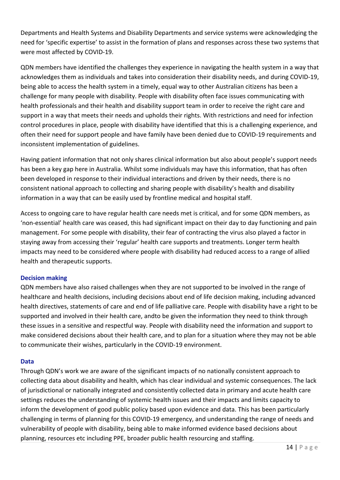Departments and Health Systems and Disability Departments and service systems were acknowledging the need for 'specific expertise' to assist in the formation of plans and responses across these two systems that were most affected by COVID-19.

QDN members have identified the challenges they experience in navigating the health system in a way that acknowledges them as individuals and takes into consideration their disability needs, and during COVID-19, being able to access the health system in a timely, equal way to other Australian citizens has been a challenge for many people with disability. People with disability often face issues communicating with health professionals and their health and disability support team in order to receive the right care and support in a way that meets their needs and upholds their rights. With restrictions and need for infection control procedures in place, people with disability have identified that this is a challenging experience, and often their need for support people and have family have been denied due to COVID-19 requirements and inconsistent implementation of guidelines.

Having patient information that not only shares clinical information but also about people's support needs has been a key gap here in Australia. Whilst some individuals may have this information, that has often been developed in response to their individual interactions and driven by their needs, there is no consistent national approach to collecting and sharing people with disability's health and disability information in a way that can be easily used by frontline medical and hospital staff.

Access to ongoing care to have regular health care needs met is critical, and for some QDN members, as 'non-essential' health care was ceased, this had significant impact on their day to day functioning and pain management. For some people with disability, their fear of contracting the virus also played a factor in staying away from accessing their 'regular' health care supports and treatments. Longer term health impacts may need to be considered where people with disability had reduced access to a range of allied health and therapeutic supports.

#### **Decision making**

QDN members have also raised challenges when they are not supported to be involved in the range of healthcare and health decisions, including decisions about end of life decision making, including advanced health directives, statements of care and end of life palliative care. People with disability have a right to be supported and involved in their health care, andto be given the information they need to think through these issues in a sensitive and respectful way. People with disability need the information and support to make considered decisions about their health care, and to plan for a situation where they may not be able to communicate their wishes, particularly in the COVID-19 environment.

#### **Data**

Through QDN's work we are aware of the significant impacts of no nationally consistent approach to collecting data about disability and health, which has clear individual and systemic consequences. The lack of jurisdictional or nationally integrated and consistently collected data in primary and acute health care settings reduces the understanding of systemic health issues and their impacts and limits capacity to inform the development of good public policy based upon evidence and data. This has been particularly challenging in terms of planning for this COVID-19 emergency, and understanding the range of needs and vulnerability of people with disability, being able to make informed evidence based decisions about planning, resources etc including PPE, broader public health resourcing and staffing.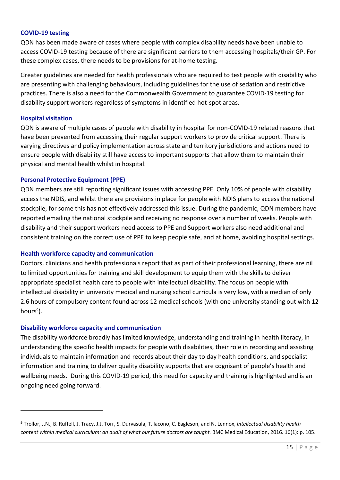#### **COVID-19 testing**

QDN has been made aware of cases where people with complex disability needs have been unable to access COVID-19 testing because of there are significant barriers to them accessing hospitals/their GP. For these complex cases, there needs to be provisions for at-home testing.

Greater guidelines are needed for health professionals who are required to test people with disability who are presenting with challenging behaviours, including guidelines for the use of sedation and restrictive practices. There is also a need for the Commonwealth Government to guarantee COVID-19 testing for disability support workers regardless of symptoms in identified hot-spot areas.

#### **Hospital visitation**

QDN is aware of multiple cases of people with disability in hospital for non-COVID-19 related reasons that have been prevented from accessing their regular support workers to provide critical support. There is varying directives and policy implementation across state and territory jurisdictions and actions need to ensure people with disability still have access to important supports that allow them to maintain their physical and mental health whilst in hospital.

#### **Personal Protective Equipment (PPE)**

QDN members are still reporting significant issues with accessing PPE. Only 10% of people with disability access the NDIS, and whilst there are provisions in place for people with NDIS plans to access the national stockpile, for some this has not effectively addressed this issue. During the pandemic, QDN members have reported emailing the national stockpile and receiving no response over a number of weeks. People with disability and their support workers need access to PPE and Support workers also need additional and consistent training on the correct use of PPE to keep people safe, and at home, avoiding hospital settings.

#### **Health workforce capacity and communication**

Doctors, clinicians and health professionals report that as part of their professional learning, there are nil to limited opportunities for training and skill development to equip them with the skills to deliver appropriate specialist health care to people with intellectual disability. The focus on people with intellectual disability in university medical and nursing school curricula is very low, with a median of only 2.6 hours of compulsory content found across 12 medical schools (with one university standing out with 12 hours<sup>9</sup>).

#### **Disability workforce capacity and communication**

The disability workforce broadly has limited knowledge, understanding and training in health literacy, in understanding the specific health impacts for people with disabilities, their role in recording and assisting individuals to maintain information and records about their day to day health conditions, and specialist information and training to deliver quality disability supports that are cognisant of people's health and wellbeing needs. During this COVID-19 period, this need for capacity and training is highlighted and is an ongoing need going forward.

<sup>9</sup> Trollor, J.N., B. Ruffell, J. Tracy, J.J. Torr, S. Durvasula, T. Iacono, C. Eagleson, and N. Lennox, *Intellectual disability health content within medical curriculum: an audit of what our future doctors are taught.* BMC Medical Education, 2016. 16(1): p. 105.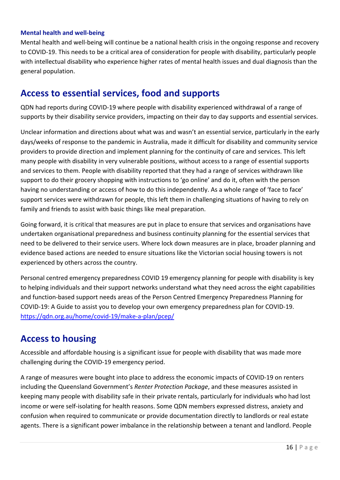#### **Mental health and well-being**

Mental health and well-being will continue be a national health crisis in the ongoing response and recovery to COVID-19. This needs to be a critical area of consideration for people with disability, particularly people with intellectual disability who experience higher rates of mental health issues and dual diagnosis than the general population.

### **Access to essential services, food and supports**

QDN had reports during COVID-19 where people with disability experienced withdrawal of a range of supports by their disability service providers, impacting on their day to day supports and essential services.

Unclear information and directions about what was and wasn't an essential service, particularly in the early days/weeks of response to the pandemic in Australia, made it difficult for disability and community service providers to provide direction and implement planning for the continuity of care and services. This left many people with disability in very vulnerable positions, without access to a range of essential supports and services to them. People with disability reported that they had a range of services withdrawn like support to do their grocery shopping with instructions to 'go online' and do it, often with the person having no understanding or access of how to do this independently. As a whole range of 'face to face' support services were withdrawn for people, this left them in challenging situations of having to rely on family and friends to assist with basic things like meal preparation.

Going forward, it is critical that measures are put in place to ensure that services and organisations have undertaken organisational preparedness and business continuity planning for the essential services that need to be delivered to their service users. Where lock down measures are in place, broader planning and evidence based actions are needed to ensure situations like the Victorian social housing towers is not experienced by others across the country.

Personal centred emergency preparedness COVID 19 emergency planning for people with disability is key to helping individuals and their support networks understand what they need across the eight capabilities and function-based support needs areas of the Person Centred Emergency Preparedness Planning for COVID-19: A Guide to assist you to develop your own emergency preparedness plan for COVID-19. https://qdn.org.au/home/covid-19/make-a-plan/pcep/

### **Access to housing**

Accessible and affordable housing is a significant issue for people with disability that was made more challenging during the COVID-19 emergency period.

A range of measures were bought into place to address the economic impacts of COVID-19 on renters including the Queensland Government's *Renter Protection Package*, and these measures assisted in keeping many people with disability safe in their private rentals, particularly for individuals who had lost income or were self-isolating for health reasons. Some QDN members expressed distress, anxiety and confusion when required to communicate or provide documentation directly to landlords or real estate agents. There is a significant power imbalance in the relationship between a tenant and landlord. People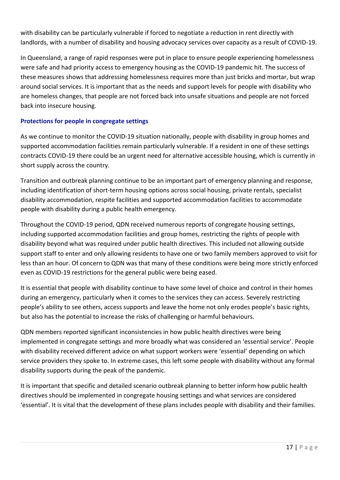with disability can be particularly vulnerable if forced to negotiate a reduction in rent directly with landlords, with a number of disability and housing advocacy services over capacity as a result of COVID-19.

In Queensland, a range of rapid responses were put in place to ensure people experiencing homelessness were safe and had priority access to emergency housing as the COVID-19 pandemic hit. The success of these measures shows that addressing homelessness requires more than just bricks and mortar, but wrap around social services. It is important that as the needs and support levels for people with disability who are homeless changes, that people are not forced back into unsafe situations and people are not forced back into insecure housing.

#### **Protections for people in congregate settings**

As we continue to monitor the COVID-19 situation nationally, people with disability in group homes and supported accommodation facilities remain particularly vulnerable. If a resident in one of these settings contracts COVID-19 there could be an urgent need for alternative accessible housing, which is currently in short supply across the country.

Transition and outbreak planning continue to be an important part of emergency planning and response, including identification of short-term housing options across social housing, private rentals, specialist disability accommodation, respite facilities and supported accommodation facilities to accommodate people with disability during a public health emergency.

Throughout the COVID-19 period, QDN received numerous reports of congregate housing settings, including supported accommodation facilities and group homes, restricting the rights of people with disability beyond what was required under public health directives. This included not allowing outside support staff to enter and only allowing residents to have one or two family members approved to visit for less than an hour. Of concern to QDN was that many of these conditions were being more strictly enforced even as COVID-19 restrictions for the general public were being eased.

It is essential that people with disability continue to have some level of choice and control in their homes during an emergency, particularly when it comes to the services they can access. Severely restricting people's ability to see others, access supports and leave the home not only erodes people's basic rights, but also has the potential to increase the risks of challenging or harmful behaviours.

QDN members reported significant inconsistencies in how public health directives were being implemented in congregate settings and more broadly what was considered an 'essential service'. People with disability received different advice on what support workers were 'essential' depending on which service providers they spoke to. In extreme cases, this left some people with disability without any formal disability supports during the peak of the pandemic.

It is important that specific and detailed scenario outbreak planning to better inform how public health directives should be implemented in congregate housing settings and what services are considered 'essential'. It is vital that the development of these plans includes people with disability and their families.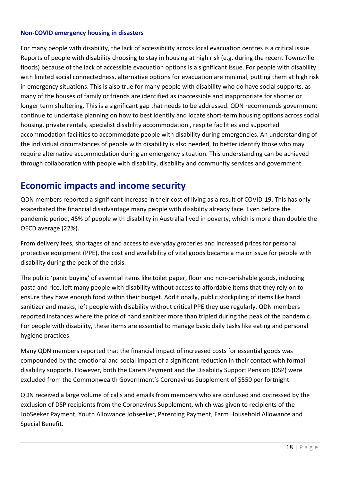#### **Non-COVID emergency housing in disasters**

For many people with disability, the lack of accessibility across local evacuation centres is a critical issue. Reports of people with disability choosing to stay in housing at high risk (e.g. during the recent Townsville floods) because of the lack of accessible evacuation options is a significant issue. For people with disability with limited social connectedness, alternative options for evacuation are minimal, putting them at high risk in emergency situations. This is also true for many people with disability who do have social supports, as many of the houses of family or friends are identified as inaccessible and inappropriate for shorter or longer term sheltering. This is a significant gap that needs to be addressed. QDN recommends government continue to undertake planning on how to best identify and locate short-term housing options across social housing, private rentals, specialist disability accommodation , respite facilities and supported accommodation facilities to accommodate people with disability during emergencies. An understanding of the individual circumstances of people with disability is also needed, to better identify those who may require alternative accommodation during an emergency situation. This understanding can be achieved through collaboration with people with disability, disability and community services and government.

### **Economic impacts and income security**

QDN members reported a significant increase in their cost of living as a result of COVID-19. This has only exacerbated the financial disadvantage many people with disability already face. Even before the pandemic period, 45% of people with disability in Australia lived in poverty, which is more than double the OECD average (22%).

From delivery fees, shortages of and access to everyday groceries and increased prices for personal protective equipment (PPE), the cost and availability of vital goods became a major issue for people with disability during the peak of the crisis.

The public 'panic buying' of essential items like toilet paper, flour and non-perishable goods, including pasta and rice, left many people with disability without access to affordable items that they rely on to ensure they have enough food within their budget. Additionally, public stockpiling of items like hand sanitizer and masks, left people with disability without critical PPE they use regularly. QDN members reported instances where the price of hand sanitizer more than tripled during the peak of the pandemic. For people with disability, these items are essential to manage basic daily tasks like eating and personal hygiene practices.

Many QDN members reported that the financial impact of increased costs for essential goods was compounded by the emotional and social impact of a significant reduction in their contact with formal disability supports. However, both the Carers Payment and the Disability Support Pension (DSP) were excluded from the Commonwealth Government's Coronavirus Supplement of \$550 per fortnight.

QDN received a large volume of calls and emails from members who are confused and distressed by the exclusion of DSP recipients from the Coronavirus Supplement, which was given to recipients of the JobSeeker Payment, Youth Allowance Jobseeker, Parenting Payment, Farm Household Allowance and Special Benefit.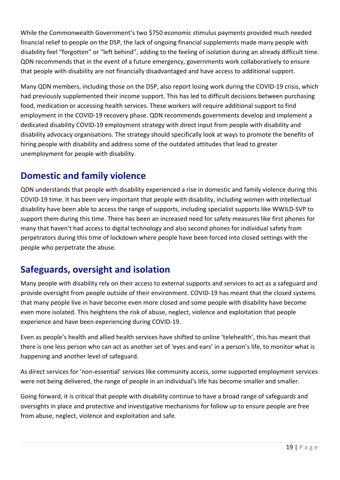While the Commonwealth Government's two \$750 economic stimulus payments provided much needed financial relief to people on the DSP, the lack of ongoing financial supplements made many people with disability feel "forgotten" or "left behind", adding to the feeling of isolation during an already difficult time. QDN recommends that in the event of a future emergency, governments work collaboratively to ensure that people with disability are not financially disadvantaged and have access to additional support.

Many QDN members, including those on the DSP, also report losing work during the COVID-19 crisis, which had previously supplemented their income support. This has led to difficult decisions between purchasing food, medication or accessing health services. These workers will require additional support to find employment in the COVID-19 recovery phase. QDN recommends governments develop and implement a dedicated disability COVID-19 employment strategy with direct input from people with disability and disability advocacy organisations. The strategy should specifically look at ways to promote the benefits of hiring people with disability and address some of the outdated attitudes that lead to greater unemployment for people with disability.

## **Domestic and family violence**

QDN understands that people with disability experienced a rise in domestic and family violence during this COVID-19 time. It has been very important that people with disability, including women with intellectual disability have been able to access the range of supports, including specialist supports like WWILD-SVP to support them during this time. There has been an increased need for safety measures like first phones for many that haven't had access to digital technology and also second phones for individual safety from perpetrators during this time of lockdown where people have been forced into closed settings with the people who perpetrate the abuse.

## **Safeguards, oversight and isolation**

Many people with disability rely on their access to external supports and services to act as a safeguard and provide oversight from people outside of their environment. COVID-19 has meant that the closed systems that many people live in have become even more closed and some people with disability have become even more isolated. This heightens the risk of abuse, neglect, violence and exploitation that people experience and have been experiencing during COVID-19.

Even as people's health and allied health services have shifted to online 'telehealth', this has meant that there is one less person who can act as another set of 'eyes and ears' in a person's life, to monitor what is happening and another level of safeguard.

As direct services for 'non-essential' services like community access, some supported employment services were not being delivered, the range of people in an individual's life has become smaller and smaller.

Going forward, it is critical that people with disability continue to have a broad range of safeguards and oversights in place and protective and investigative mechanisms for follow up to ensure people are free from abuse, neglect, violence and exploitation and safe.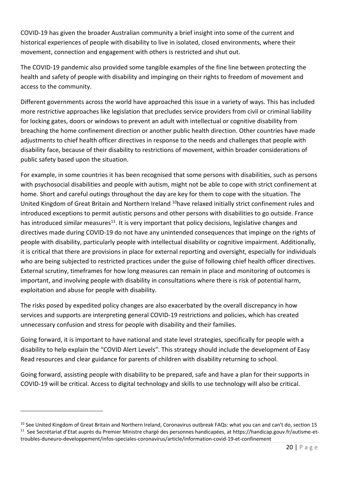COVID-19 has given the broader Australian community a brief insight into some of the current and historical experiences of people with disability to live in isolated, closed environments, where their movement, connection and engagement with others is restricted and shut out.

The COVID-19 pandemic also provided some tangible examples of the fine line between protecting the health and safety of people with disability and impinging on their rights to freedom of movement and access to the community.

Different governments across the world have approached this issue in a variety of ways. This has included more restrictive approaches like legislation that precludes service providers from civil or criminal liability for locking gates, doors or windows to prevent an adult with intellectual or cognitive disability from breaching the home confinement direction or another public health direction. Other countries have made adjustments to chief health officer directives in response to the needs and challenges that people with disability face, because of their disability to restrictions of movement, within broader considerations of public safety based upon the situation.

For example, in some countries it has been recognised that some persons with disabilities, such as persons with psychosocial disabilities and people with autism, might not be able to cope with strict confinement at home. Short and careful outings throughout the day are key for them to cope with the situation. The United Kingdom of Great Britain and Northern Ireland 10have relaxed initially strict confinement rules and introduced exceptions to permit autistic persons and other persons with disabilities to go outside. France has introduced similar measures<sup>11</sup>. It is very important that policy decisions, legislative changes and directives made during COVID-19 do not have any unintended consequences that impinge on the rights of people with disability, particularly people with intellectual disability or cognitive impairment. Additionally, it is critical that there are provisions in place for external reporting and oversight, especially for individuals who are being subjected to restricted practices under the guise of following chief health officer directives. External scrutiny, timeframes for how long measures can remain in place and monitoring of outcomes is important, and involving people with disability in consultations where there is risk of potential harm, exploitation and abuse for people with disability.

The risks posed by expedited policy changes are also exacerbated by the overall discrepancy in how services and supports are interpreting general COVID-19 restrictions and policies, which has created unnecessary confusion and stress for people with disability and their families.

Going forward, it is important to have national and state level strategies, specifically for people with a disability to help explain the "COVID Alert Levels". This strategy should include the development of Easy Read resources and clear guidance for parents of children with disability returning to school.

Going forward, assisting people with disability to be prepared, safe and have a plan for their supports in COVID-19 will be critical. Access to digital technology and skills to use technology will also be critical.

<sup>&</sup>lt;sup>10</sup> See United Kingdom of Great Britain and Northern Ireland, Coronavirus outbreak FAQs: what you can and can't do, section 15 11 See Secrétariat d'Etat auprès du Premier Ministre chargé des personnes handicapées, at https://handicap.gouv.fr/autisme-ettroubles-duneuro-developpement/infos-speciales-coronavirus/article/information-covid-19-et-confinement